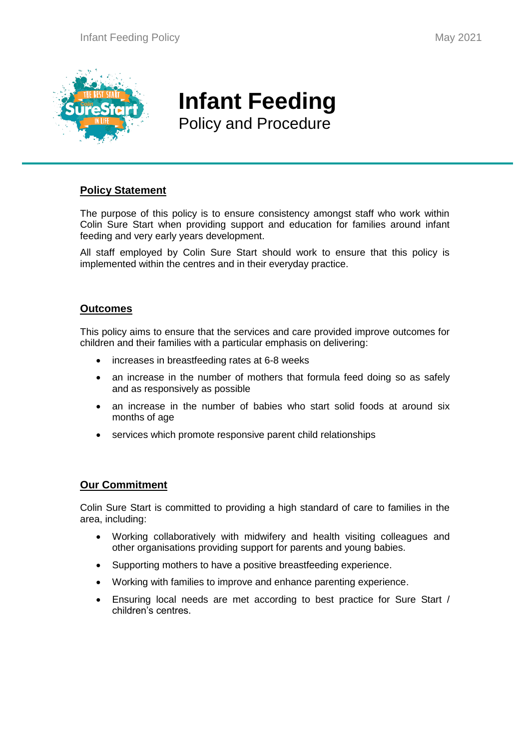

Ī

# **Infant Feeding** Policy and Procedure

## **Policy Statement**

The purpose of this policy is to ensure consistency amongst staff who work within Colin Sure Start when providing support and education for families around infant feeding and very early years development.

All staff employed by Colin Sure Start should work to ensure that this policy is implemented within the centres and in their everyday practice.

## **Outcomes**

This policy aims to ensure that the services and care provided improve outcomes for children and their families with a particular emphasis on delivering:

- increases in breastfeeding rates at 6-8 weeks
- an increase in the number of mothers that formula feed doing so as safely and as responsively as possible
- an increase in the number of babies who start solid foods at around six months of age
- services which promote responsive parent child relationships

## **Our Commitment**

Colin Sure Start is committed to providing a high standard of care to families in the area, including:

- Working collaboratively with midwifery and health visiting colleagues and other organisations providing support for parents and young babies.
- Supporting mothers to have a positive breastfeeding experience.
- Working with families to improve and enhance parenting experience.
- Ensuring local needs are met according to best practice for Sure Start / children's centres.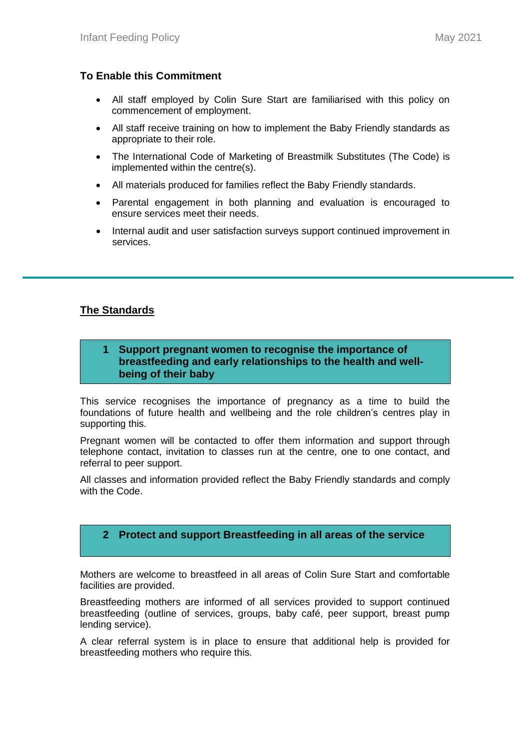## **To Enable this Commitment**

- All staff employed by Colin Sure Start are familiarised with this policy on commencement of employment.
- All staff receive training on how to implement the Baby Friendly standards as appropriate to their role.
- The International Code of Marketing of Breastmilk Substitutes (The Code) is implemented within the centre(s).
- All materials produced for families reflect the Baby Friendly standards.
- Parental engagement in both planning and evaluation is encouraged to ensure services meet their needs.
- Internal audit and user satisfaction surveys support continued improvement in services.

## **The Standards**

### **1 Support pregnant women to recognise the importance of breastfeeding and early relationships to the health and wellbeing of their baby**

This service recognises the importance of pregnancy as a time to build the foundations of future health and wellbeing and the role children's centres play in supporting this.

Pregnant women will be contacted to offer them information and support through telephone contact, invitation to classes run at the centre, one to one contact, and referral to peer support.

All classes and information provided reflect the Baby Friendly standards and comply with the Code.

## **2 Protect and support Breastfeeding in all areas of the service**

Mothers are welcome to breastfeed in all areas of Colin Sure Start and comfortable facilities are provided.

Breastfeeding mothers are informed of all services provided to support continued breastfeeding (outline of services, groups, baby café, peer support, breast pump lending service).

A clear referral system is in place to ensure that additional help is provided for breastfeeding mothers who require this.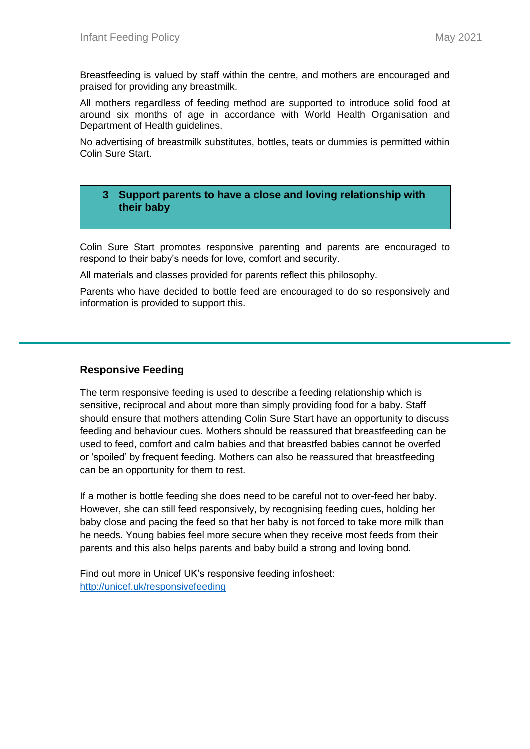Breastfeeding is valued by staff within the centre, and mothers are encouraged and praised for providing any breastmilk.

All mothers regardless of feeding method are supported to introduce solid food at around six months of age in accordance with World Health Organisation and Department of Health guidelines.

No advertising of breastmilk substitutes, bottles, teats or dummies is permitted within Colin Sure Start.

### **3 Support parents to have a close and loving relationship with their baby**

Colin Sure Start promotes responsive parenting and parents are encouraged to respond to their baby's needs for love, comfort and security.

All materials and classes provided for parents reflect this philosophy.

Parents who have decided to bottle feed are encouraged to do so responsively and information is provided to support this.

#### **Responsive Feeding**

The term responsive feeding is used to describe a feeding relationship which is sensitive, reciprocal and about more than simply providing food for a baby. Staff should ensure that mothers attending Colin Sure Start have an opportunity to discuss feeding and behaviour cues. Mothers should be reassured that breastfeeding can be used to feed, comfort and calm babies and that breastfed babies cannot be overfed or 'spoiled' by frequent feeding. Mothers can also be reassured that breastfeeding can be an opportunity for them to rest.

If a mother is bottle feeding she does need to be careful not to over-feed her baby. However, she can still feed responsively, by recognising feeding cues, holding her baby close and pacing the feed so that her baby is not forced to take more milk than he needs. Young babies feel more secure when they receive most feeds from their parents and this also helps parents and baby build a strong and loving bond.

Find out more in Unicef UK's responsive feeding infosheet: <http://unicef.uk/responsivefeeding>